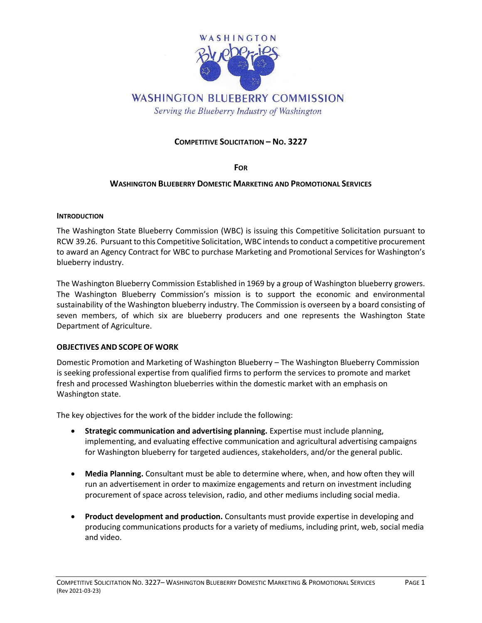

# **WASHINGTON BLUEBERRY COMMISSION**

Serving the Blueberry Industry of Washington

# **COMPETITIVE SOLICITATION – NO. 3227**

#### **FOR**

## **WASHINGTON BLUEBERRY DOMESTIC MARKETING AND PROMOTIONAL SERVICES**

#### **INTRODUCTION**

The Washington State Blueberry Commission (WBC) is issuing this Competitive Solicitation pursuant to RCW 39.26. Pursuant to this Competitive Solicitation, WBC intends to conduct a competitive procurement to award an Agency Contract for WBC to purchase Marketing and Promotional Services for Washington's blueberry industry.

The Washington Blueberry Commission Established in 1969 by a group of Washington blueberry growers. The Washington Blueberry Commission's mission is to support the economic and environmental sustainability of the Washington blueberry industry. The Commission is overseen by a board consisting of seven members, of which six are blueberry producers and one represents the Washington State Department of Agriculture.

## **OBJECTIVES AND SCOPE OF WORK**

Domestic Promotion and Marketing of Washington Blueberry – The Washington Blueberry Commission is seeking professional expertise from qualified firms to perform the services to promote and market fresh and processed Washington blueberries within the domestic market with an emphasis on Washington state.

The key objectives for the work of the bidder include the following:

- **Strategic communication and advertising planning.** Expertise must include planning, implementing, and evaluating effective communication and agricultural advertising campaigns for Washington blueberry for targeted audiences, stakeholders, and/or the general public.
- **Media Planning.** Consultant must be able to determine where, when, and how often they will run an advertisement in order to maximize engagements and return on investment including procurement of space across television, radio, and other mediums including social media.
- **Product development and production.** Consultants must provide expertise in developing and producing communications products for a variety of mediums, including print, web, social media and video.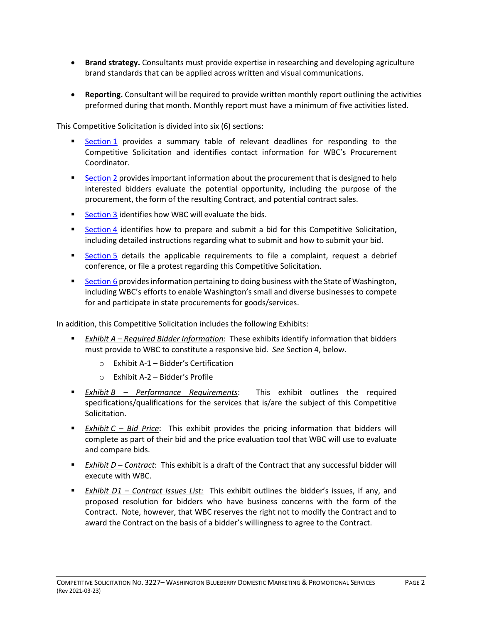- **Brand strategy.** Consultants must provide expertise in researching and developing agriculture brand standards that can be applied across written and visual communications.
- **Reporting.** Consultant will be required to provide written monthly report outlining the activities preformed during that month. Monthly report must have a minimum of five activities listed.

This Competitive Solicitation is divided into six (6) sections:

- **Example 1** [Section](#page-2-0) 1 provides a summary table of relevant deadlines for responding to the Competitive Solicitation and identifies contact information for WBC's Procurement Coordinator.
- **EXECT** [Section](#page-3-0) 2 provides important information about the procurement that is designed to help interested bidders evaluate the potential opportunity, including the purpose of the procurement, the form of the resulting Contract, and potential contract sales.
- [Section](#page-4-0) 3 identifies how WBC will evaluate the bids.
- **Example 1** [Section](#page-7-0) 4 identifies how to prepare and submit a bid for this Competitive Solicitation, including detailed instructions regarding what to submit and how to submit your bid.
- **Example 1** [Section](#page-9-0) 5 details the applicable requirements to file a complaint, request a debrief conference, or file a protest regarding this Competitive Solicitation.
- **EXECTION 6 2** [Section](#page-12-0) 6 provides information pertaining to doing business with the State of Washington, including WBC's efforts to enable Washington's small and diverse businesses to compete for and participate in state procurements for goods/services.

In addition, this Competitive Solicitation includes the following Exhibits:

- *Exhibit A Required Bidder Information*: These exhibits identify information that bidders must provide to WBC to constitute a responsive bid. *See* Section 4, below.
	- o Exhibit A-1 Bidder's Certification
	- o Exhibit A-2 Bidder's Profile
- *Exhibit B – Performance Requirements*: This exhibit outlines the required specifications/qualifications for the services that is/are the subject of this Competitive Solicitation.
- *Exhibit C – Bid Price*: This exhibit provides the pricing information that bidders will complete as part of their bid and the price evaluation tool that WBC will use to evaluate and compare bids.
- *Exhibit D Contract*: This exhibit is a draft of the Contract that any successful bidder will execute with WBC.
- *Exhibit D1 – Contract Issues List:* This exhibit outlines the bidder's issues, if any, and proposed resolution for bidders who have business concerns with the form of the Contract. Note, however, that WBC reserves the right not to modify the Contract and to award the Contract on the basis of a bidder's willingness to agree to the Contract.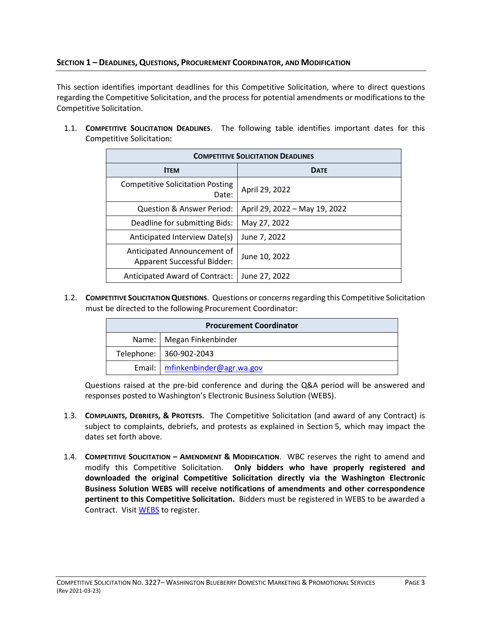# <span id="page-2-0"></span>**SECTION 1 – DEADLINES, QUESTIONS, PROCUREMENT COORDINATOR, AND MODIFICATION**

This section identifies important deadlines for this Competitive Solicitation, where to direct questions regarding the Competitive Solicitation, and the process for potential amendments or modifications to the Competitive Solicitation.

1.1. **COMPETITIVE SOLICITATION DEADLINES**. The following table identifies important dates for this Competitive Solicitation:

| <b>COMPETITIVE SOLICITATION DEADLINES</b>                         |                               |  |  |  |
|-------------------------------------------------------------------|-------------------------------|--|--|--|
| <b>ITEM</b>                                                       | <b>DATE</b>                   |  |  |  |
| <b>Competitive Solicitation Posting</b><br>Date:                  | April 29, 2022                |  |  |  |
| Question & Answer Period:                                         | April 29, 2022 - May 19, 2022 |  |  |  |
| Deadline for submitting Bids:                                     | May 27, 2022                  |  |  |  |
| Anticipated Interview Date(s)                                     | June 7, 2022                  |  |  |  |
| Anticipated Announcement of<br><b>Apparent Successful Bidder:</b> | June 10, 2022                 |  |  |  |
| Anticipated Award of Contract:                                    | June 27, 2022                 |  |  |  |

1.2. **COMPETITIVE SOLICITATION QUESTIONS**. Questions or concerns regarding this Competitive Solicitation must be directed to the following Procurement Coordinator:

| <b>Procurement Coordinator</b> |                                 |  |  |  |
|--------------------------------|---------------------------------|--|--|--|
|                                | Name:   Megan Finkenbinder      |  |  |  |
|                                | Telephone:   360-902-2043       |  |  |  |
|                                | Email: mfinkenbinder@agr.wa.gov |  |  |  |

Questions raised at the pre-bid conference and during the Q&A period will be answered and responses posted to Washington's Electronic Business Solution (WEBS).

- 1.3. **COMPLAINTS, DEBRIEFS, & PROTESTS**. The Competitive Solicitation (and award of any Contract) is subject to complaints, debriefs, and protests as explained in Section 5, which may impact the dates set forth above.
- 1.4. **COMPETITIVE SOLICITATION – AMENDMENT & MODIFICATION**. WBC reserves the right to amend and modify this Competitive Solicitation. **Only bidders who have properly registered and downloaded the original Competitive Solicitation directly via the Washington Electronic Business Solution WEBS will receive notifications of amendments and other correspondence pertinent to this Competitive Solicitation.** Bidders must be registered in WEBS to be awarded a Contract. Visit [WEBS](https://fortress.wa.gov/ga/webs) to register.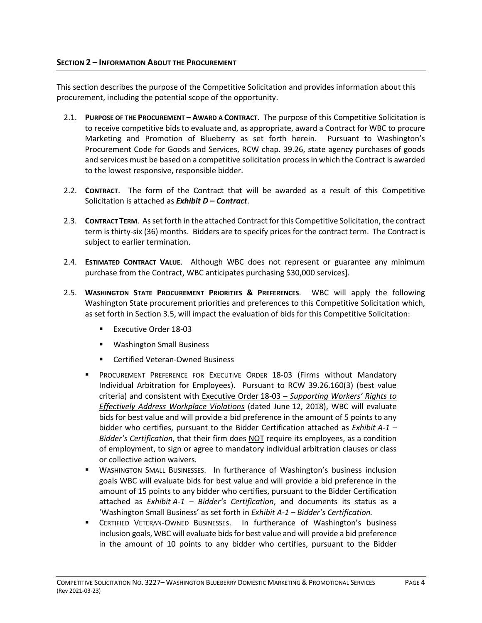<span id="page-3-0"></span>This section describes the purpose of the Competitive Solicitation and provides information about this procurement, including the potential scope of the opportunity.

- 2.1. **PURPOSE OF THE PROCUREMENT – AWARD A CONTRACT**. The purpose of this Competitive Solicitation is to receive competitive bids to evaluate and, as appropriate, award a Contract for WBC to procure Marketing and Promotion of Blueberry as set forth herein. Pursuant to Washington's Procurement Code for Goods and Services, RCW chap. 39.26, state agency purchases of goods and services must be based on a competitive solicitation process in which the Contract is awarded to the lowest responsive, responsible bidder.
- 2.2. **CONTRACT**. The form of the Contract that will be awarded as a result of this Competitive Solicitation is attached as *Exhibit D – Contract*.
- 2.3. **CONTRACT TERM**. As set forth in the attached Contract for this Competitive Solicitation, the contract term is thirty-six (36) months. Bidders are to specify prices for the contract term. The Contract is subject to earlier termination.
- 2.4. **ESTIMATED CONTRACT VALUE**. Although WBC does not represent or guarantee any minimum purchase from the Contract, WBC anticipates purchasing \$30,000 services].
- 2.5. **WASHINGTON STATE PROCUREMENT PRIORITIES & PREFERENCES**. WBC will apply the following Washington State procurement priorities and preferences to this Competitive Solicitation which, as set forth in Section 3.5, will impact the evaluation of bids for this Competitive Solicitation:
	- Executive Order 18-03
	- Washington Small Business
	- Certified Veteran-Owned Business
	- **PROCUREMENT PREFERENCE FOR EXECUTIVE ORDER 18-03 (Firms without Mandatory** Individual Arbitration for Employees). Pursuant to RCW 39.26.160(3) (best value criteria) and consistent with Executive Order 18-03 – *[Supporting Workers' Rights to](https://www.governor.wa.gov/sites/default/files/exe_order/18-03%20-%20Workers%20Rights%20%28tmp%29.pdf?=32717)  [Effectively Address Workplace Violations](https://www.governor.wa.gov/sites/default/files/exe_order/18-03%20-%20Workers%20Rights%20%28tmp%29.pdf?=32717)* (dated June 12, 2018), WBC will evaluate bids for best value and will provide a bid preference in the amount of 5 points to any bidder who certifies, pursuant to the Bidder Certification attached as *Exhibit A-1 – Bidder's Certification*, that their firm does NOT require its employees, as a condition of employment, to sign or agree to mandatory individual arbitration clauses or class or collective action waivers.
	- **E** WASHINGTON SMALL BUSINESSES. In furtherance of Washington's business inclusion goals WBC will evaluate bids for best value and will provide a bid preference in the amount of 15 points to any bidder who certifies, pursuant to the Bidder Certification attached as *Exhibit A-1 – Bidder's Certification*, and documents its status as a 'Washington Small Business' as set forth in *Exhibit A-1 – Bidder's Certification.*
	- **EXECTIFIED VETERAN-OWNED BUSINESSES.** In furtherance of Washington's business inclusion goals, WBC will evaluate bids for best value and will provide a bid preference in the amount of 10 points to any bidder who certifies, pursuant to the Bidder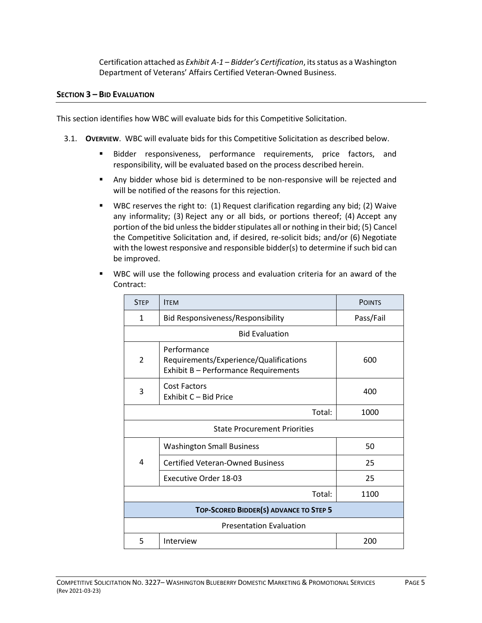Certification attached as *Exhibit A-1 – Bidder's Certification*, its status as a Washington Department of Veterans' Affairs Certified Veteran-Owned Business.

## <span id="page-4-0"></span>**SECTION 3 – BID EVALUATION**

This section identifies how WBC will evaluate bids for this Competitive Solicitation.

- 3.1. **OVERVIEW**. WBC will evaluate bids for this Competitive Solicitation as described below.
	- Bidder responsiveness, performance requirements, price factors, and responsibility, will be evaluated based on the process described herein.
	- Any bidder whose bid is determined to be non-responsive will be rejected and will be notified of the reasons for this rejection.
	- WBC reserves the right to: (1) Request clarification regarding any bid; (2) Waive any informality; (3) Reject any or all bids, or portions thereof; (4) Accept any portion of the bid unless the bidder stipulates all or nothing in their bid; (5) Cancel the Competitive Solicitation and, if desired, re-solicit bids; and/or (6) Negotiate with the lowest responsive and responsible bidder(s) to determine if such bid can be improved.

|  |           |  |  | " WBC will use the following process and evaluation criteria for an award of the |  |  |  |
|--|-----------|--|--|----------------------------------------------------------------------------------|--|--|--|
|  | Contract: |  |  |                                                                                  |  |  |  |
|  |           |  |  |                                                                                  |  |  |  |

| <b>STEP</b>                            | <b>ITEM</b>                                                                                   | <b>POINTS</b> |  |  |  |
|----------------------------------------|-----------------------------------------------------------------------------------------------|---------------|--|--|--|
| $\mathbf{1}$                           | <b>Bid Responsiveness/Responsibility</b>                                                      | Pass/Fail     |  |  |  |
| <b>Bid Evaluation</b>                  |                                                                                               |               |  |  |  |
| 2                                      | Performance<br>Requirements/Experience/Qualifications<br>Exhibit B - Performance Requirements | 600           |  |  |  |
| 3                                      | <b>Cost Factors</b><br>Exhibit C - Bid Price                                                  | 400           |  |  |  |
|                                        | 1000                                                                                          |               |  |  |  |
| <b>State Procurement Priorities</b>    |                                                                                               |               |  |  |  |
| 4                                      | <b>Washington Small Business</b>                                                              | 50            |  |  |  |
|                                        | <b>Certified Veteran-Owned Business</b>                                                       | 25            |  |  |  |
|                                        | Executive Order 18-03                                                                         | 25            |  |  |  |
|                                        | 1100                                                                                          |               |  |  |  |
| TOP-SCORED BIDDER(S) ADVANCE TO STEP 5 |                                                                                               |               |  |  |  |
| <b>Presentation Evaluation</b>         |                                                                                               |               |  |  |  |
| 5                                      | Interview                                                                                     | 200           |  |  |  |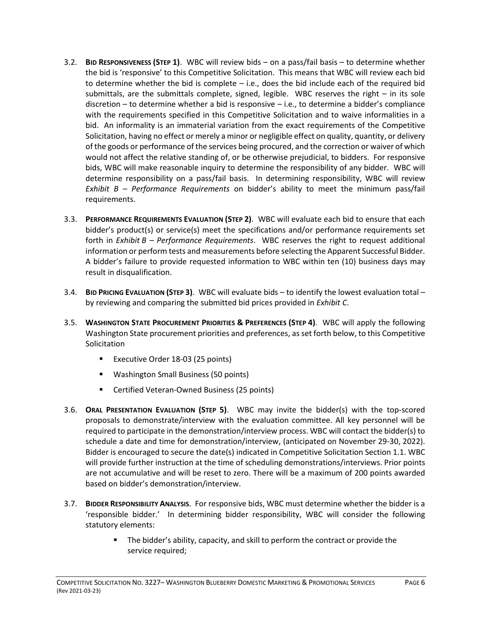- 3.2. **BID RESPONSIVENESS (STEP 1)**. WBC will review bids on a pass/fail basis to determine whether the bid is 'responsive' to this Competitive Solicitation. This means that WBC will review each bid to determine whether the bid is complete – i.e., does the bid include each of the required bid submittals, are the submittals complete, signed, legible. WBC reserves the right – in its sole discretion – to determine whether a bid is responsive – i.e., to determine a bidder's compliance with the requirements specified in this Competitive Solicitation and to waive informalities in a bid. An informality is an immaterial variation from the exact requirements of the Competitive Solicitation, having no effect or merely a minor or negligible effect on quality, quantity, or delivery of the goods or performance of the services being procured, and the correction or waiver of which would not affect the relative standing of, or be otherwise prejudicial, to bidders. For responsive bids, WBC will make reasonable inquiry to determine the responsibility of any bidder. WBC will determine responsibility on a pass/fail basis. In determining responsibility, WBC will review *Exhibit B – Performance Requirements* on bidder's ability to meet the minimum pass/fail requirements.
- 3.3. **PERFORMANCE REQUIREMENTS EVALUATION (STEP 2)**. WBC will evaluate each bid to ensure that each bidder's product(s) or service(s) meet the specifications and/or performance requirements set forth in *Exhibit B – Performance Requirements*. WBC reserves the right to request additional information or perform tests and measurements before selecting the Apparent Successful Bidder. A bidder's failure to provide requested information to WBC within ten (10) business days may result in disqualification.
- 3.4. **BID PRICING EVALUATION (STEP 3)**. WBC will evaluate bids to identify the lowest evaluation total by reviewing and comparing the submitted bid prices provided in *Exhibit C*.
- 3.5. **WASHINGTON STATE PROCUREMENT PRIORITIES & PREFERENCES (STEP 4)**. WBC will apply the following Washington State procurement priorities and preferences, as set forth below, to this Competitive **Solicitation** 
	- Executive Order 18-03 (25 points)
	- Washington Small Business (50 points)
	- Certified Veteran-Owned Business (25 points)
- 3.6. **ORAL PRESENTATION EVALUATION (STEP 5)**. WBC may invite the bidder(s) with the top-scored proposals to demonstrate/interview with the evaluation committee. All key personnel will be required to participate in the demonstration/interview process. WBC will contact the bidder(s) to schedule a date and time for demonstration/interview, (anticipated on November 29-30, 2022). Bidder is encouraged to secure the date(s) indicated in Competitive Solicitation Section 1.1. WBC will provide further instruction at the time of scheduling demonstrations/interviews. Prior points are not accumulative and will be reset to zero. There will be a maximum of 200 points awarded based on bidder's demonstration/interview.
- 3.7. **BIDDER RESPONSIBILITY ANALYSIS**. For responsive bids, WBC must determine whether the bidder is a 'responsible bidder.' In determining bidder responsibility, WBC will consider the following statutory elements:
	- The bidder's ability, capacity, and skill to perform the contract or provide the service required;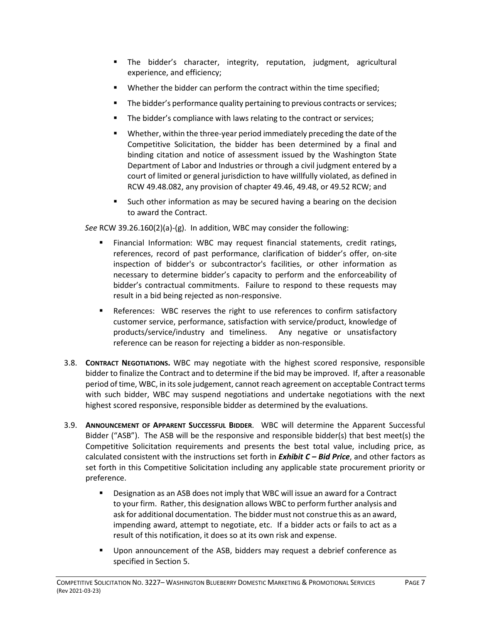- The bidder's character, integrity, reputation, judgment, agricultural experience, and efficiency;
- Whether the bidder can perform the contract within the time specified;
- **•** The bidder's performance quality pertaining to previous contracts or services;
- The bidder's compliance with laws relating to the contract or services;
- Whether, within the three-year period immediately preceding the date of the Competitive Solicitation, the bidder has been determined by a final and binding citation and notice of assessment issued by the Washington State Department of Labor and Industries or through a civil judgment entered by a court of limited or general jurisdiction to have willfully violated, as defined in RCW 49.48.082, any provision of chapter 49.46, 49.48, or 49.52 RCW; and
- Such other information as may be secured having a bearing on the decision to award the Contract.

*See* RCW 39.26.160(2)(a)-(g). In addition, WBC may consider the following:

- Financial Information: WBC may request financial statements, credit ratings, references, record of past performance, clarification of bidder's offer, on-site inspection of bidder's or subcontractor's facilities, or other information as necessary to determine bidder's capacity to perform and the enforceability of bidder's contractual commitments. Failure to respond to these requests may result in a bid being rejected as non-responsive.
- **EXECUTE:** References: WBC reserves the right to use references to confirm satisfactory customer service, performance, satisfaction with service/product, knowledge of products/service/industry and timeliness. Any negative or unsatisfactory reference can be reason for rejecting a bidder as non-responsible.
- 3.8. **CONTRACT NEGOTIATIONS.** WBC may negotiate with the highest scored responsive, responsible bidder to finalize the Contract and to determine if the bid may be improved. If, after a reasonable period of time, WBC, in its sole judgement, cannot reach agreement on acceptable Contract terms with such bidder, WBC may suspend negotiations and undertake negotiations with the next highest scored responsive, responsible bidder as determined by the evaluations.
- 3.9. **ANNOUNCEMENT OF APPARENT SUCCESSFUL BIDDER**. WBC will determine the Apparent Successful Bidder ("ASB"). The ASB will be the responsive and responsible bidder(s) that best meet(s) the Competitive Solicitation requirements and presents the best total value, including price, as calculated consistent with the instructions set forth in *Exhibit C – Bid Price*, and other factors as set forth in this Competitive Solicitation including any applicable state procurement priority or preference.
	- Designation as an ASB does not imply that WBC will issue an award for a Contract to your firm. Rather, this designation allows WBC to perform further analysis and ask for additional documentation. The bidder must not construe this as an award, impending award, attempt to negotiate, etc. If a bidder acts or fails to act as a result of this notification, it does so at its own risk and expense.
	- Upon announcement of the ASB, bidders may request a debrief conference as specified in Section 5.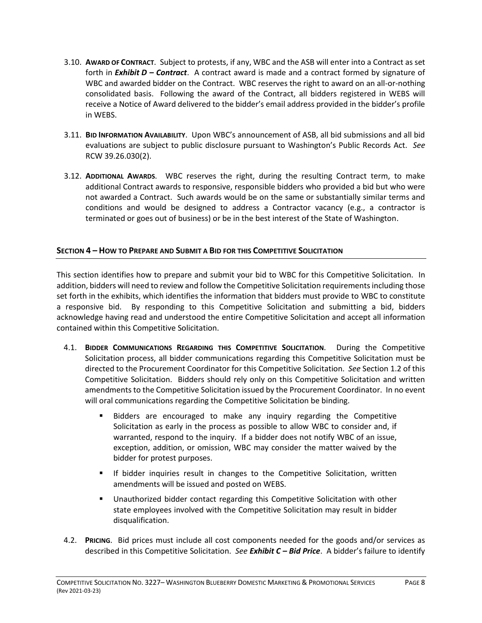- 3.10. **AWARD OF CONTRACT**. Subject to protests, if any, WBC and the ASB will enter into a Contract as set forth in *Exhibit D – Contract*. A contract award is made and a contract formed by signature of WBC and awarded bidder on the Contract. WBC reserves the right to award on an all-or-nothing consolidated basis. Following the award of the Contract, all bidders registered in WEBS will receive a Notice of Award delivered to the bidder's email address provided in the bidder's profile in WEBS.
- 3.11. **BID INFORMATION AVAILABILITY**. Upon WBC's announcement of ASB, all bid submissions and all bid evaluations are subject to public disclosure pursuant to Washington's Public Records Act. *See* RCW 39.26.030(2).
- 3.12. **ADDITIONAL AWARDS**. WBC reserves the right, during the resulting Contract term, to make additional Contract awards to responsive, responsible bidders who provided a bid but who were not awarded a Contract. Such awards would be on the same or substantially similar terms and conditions and would be designed to address a Contractor vacancy (e.g., a contractor is terminated or goes out of business) or be in the best interest of the State of Washington.

# <span id="page-7-0"></span>**SECTION 4 – HOW TO PREPARE AND SUBMIT A BID FOR THIS COMPETITIVE SOLICITATION**

This section identifies how to prepare and submit your bid to WBC for this Competitive Solicitation. In addition, bidders will need to review and follow the Competitive Solicitation requirements including those set forth in the exhibits, which identifies the information that bidders must provide to WBC to constitute a responsive bid. By responding to this Competitive Solicitation and submitting a bid, bidders acknowledge having read and understood the entire Competitive Solicitation and accept all information contained within this Competitive Solicitation.

- 4.1. **BIDDER COMMUNICATIONS REGARDING THIS COMPETITIVE SOLICITATION**. During the Competitive Solicitation process, all bidder communications regarding this Competitive Solicitation must be directed to the Procurement Coordinator for this Competitive Solicitation. *See* Section 1.2 of this Competitive Solicitation. Bidders should rely only on this Competitive Solicitation and written amendments to the Competitive Solicitation issued by the Procurement Coordinator. In no event will oral communications regarding the Competitive Solicitation be binding.
	- Bidders are encouraged to make any inquiry regarding the Competitive Solicitation as early in the process as possible to allow WBC to consider and, if warranted, respond to the inquiry. If a bidder does not notify WBC of an issue, exception, addition, or omission, WBC may consider the matter waived by the bidder for protest purposes.
	- **■** If bidder inquiries result in changes to the Competitive Solicitation, written amendments will be issued and posted on WEBS.
	- Unauthorized bidder contact regarding this Competitive Solicitation with other state employees involved with the Competitive Solicitation may result in bidder disqualification.
- 4.2. **PRICING**. Bid prices must include all cost components needed for the goods and/or services as described in this Competitive Solicitation. *See Exhibit C – Bid Price*. A bidder's failure to identify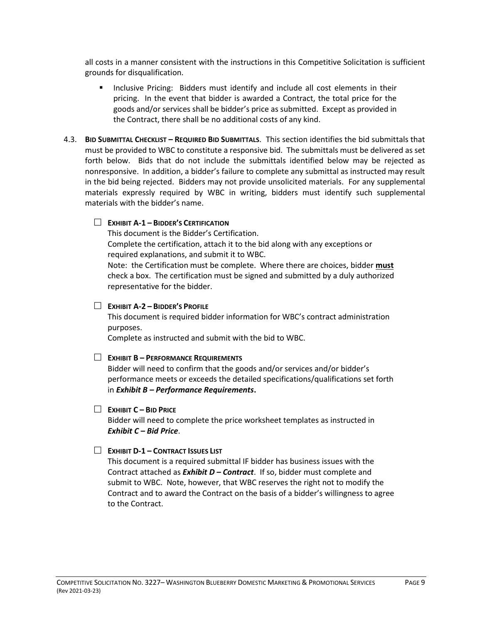all costs in a manner consistent with the instructions in this Competitive Solicitation is sufficient grounds for disqualification.

- **■** Inclusive Pricing: Bidders must identify and include all cost elements in their pricing. In the event that bidder is awarded a Contract, the total price for the goods and/or services shall be bidder's price as submitted. Except as provided in the Contract, there shall be no additional costs of any kind.
- 4.3. **BID SUBMITTAL CHECKLIST – REQUIRED BID SUBMITTALS**. This section identifies the bid submittals that must be provided to WBC to constitute a responsive bid. The submittals must be delivered as set forth below. Bids that do not include the submittals identified below may be rejected as nonresponsive. In addition, a bidder's failure to complete any submittal as instructed may result in the bid being rejected. Bidders may not provide unsolicited materials. For any supplemental materials expressly required by WBC in writing, bidders must identify such supplemental materials with the bidder's name.

## **EXHIBIT A-1 – BIDDER'S CERTIFICATION**

This document is the Bidder's Certification.

Complete the certification, attach it to the bid along with any exceptions or required explanations, and submit it to WBC.

Note: the Certification must be complete. Where there are choices, bidder **must** check a box. The certification must be signed and submitted by a duly authorized representative for the bidder.

## **EXHIBIT A-2 – BIDDER'S PROFILE**

This document is required bidder information for WBC's contract administration purposes.

Complete as instructed and submit with the bid to WBC.

## **EXHIBIT B – PERFORMANCE REQUIREMENTS**

Bidder will need to confirm that the goods and/or services and/or bidder's performance meets or exceeds the detailed specifications/qualifications set forth in *Exhibit B – Performance Requirements***.**

## **EXHIBIT C – BID PRICE**

Bidder will need to complete the price worksheet templates as instructed in *Exhibit C – Bid Price*.

## **EXHIBIT D-1 – CONTRACT ISSUES LIST**

This document is a required submittal IF bidder has business issues with the Contract attached as *Exhibit D – Contract*. If so, bidder must complete and submit to WBC. Note, however, that WBC reserves the right not to modify the Contract and to award the Contract on the basis of a bidder's willingness to agree to the Contract.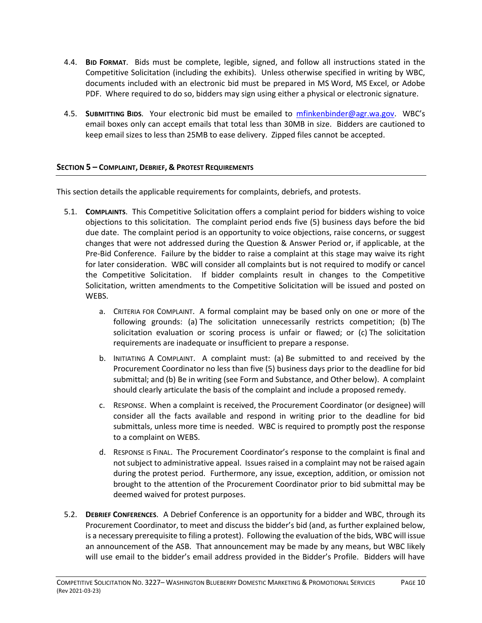- 4.4. **BID FORMAT**. Bids must be complete, legible, signed, and follow all instructions stated in the Competitive Solicitation (including the exhibits). Unless otherwise specified in writing by WBC, documents included with an electronic bid must be prepared in MS Word, MS Excel, or Adobe PDF. Where required to do so, bidders may sign using either a physical or electronic signature.
- 4.5. **SUBMITTING BIDS**. Your electronic bid must be emailed to [mfinkenbinder@agr.wa.gov.](mailto:mfinkenbinder@agr.wa.gov) WBC's email boxes only can accept emails that total less than 30MB in size. Bidders are cautioned to keep email sizes to less than 25MB to ease delivery. Zipped files cannot be accepted.

# <span id="page-9-0"></span>**SECTION 5 – COMPLAINT, DEBRIEF, & PROTEST REQUIREMENTS**

This section details the applicable requirements for complaints, debriefs, and protests.

- 5.1. **COMPLAINTS**. This Competitive Solicitation offers a complaint period for bidders wishing to voice objections to this solicitation. The complaint period ends five (5) business days before the bid due date. The complaint period is an opportunity to voice objections, raise concerns, or suggest changes that were not addressed during the Question & Answer Period or, if applicable, at the Pre-Bid Conference. Failure by the bidder to raise a complaint at this stage may waive its right for later consideration. WBC will consider all complaints but is not required to modify or cancel the Competitive Solicitation. If bidder complaints result in changes to the Competitive Solicitation, written amendments to the Competitive Solicitation will be issued and posted on WEBS.
	- a. CRITERIA FOR COMPLAINT. A formal complaint may be based only on one or more of the following grounds: (a) The solicitation unnecessarily restricts competition; (b) The solicitation evaluation or scoring process is unfair or flawed; or (c) The solicitation requirements are inadequate or insufficient to prepare a response.
	- b. INITIATING A COMPLAINT. A complaint must: (a) Be submitted to and received by the Procurement Coordinator no less than five (5) business days prior to the deadline for bid submittal; and (b) Be in writing (see Form and Substance, and Other below). A complaint should clearly articulate the basis of the complaint and include a proposed remedy.
	- c. RESPONSE. When a complaint is received, the Procurement Coordinator (or designee) will consider all the facts available and respond in writing prior to the deadline for bid submittals, unless more time is needed. WBC is required to promptly post the response to a complaint on WEBS.
	- d. RESPONSE IS FINAL. The Procurement Coordinator's response to the complaint is final and not subject to administrative appeal. Issues raised in a complaint may not be raised again during the protest period. Furthermore, any issue, exception, addition, or omission not brought to the attention of the Procurement Coordinator prior to bid submittal may be deemed waived for protest purposes.
- 5.2. **DEBRIEF CONFERENCES**. A Debrief Conference is an opportunity for a bidder and WBC, through its Procurement Coordinator, to meet and discuss the bidder's bid (and, as further explained below, is a necessary prerequisite to filing a protest). Following the evaluation of the bids, WBC will issue an announcement of the ASB. That announcement may be made by any means, but WBC likely will use email to the bidder's email address provided in the Bidder's Profile. Bidders will have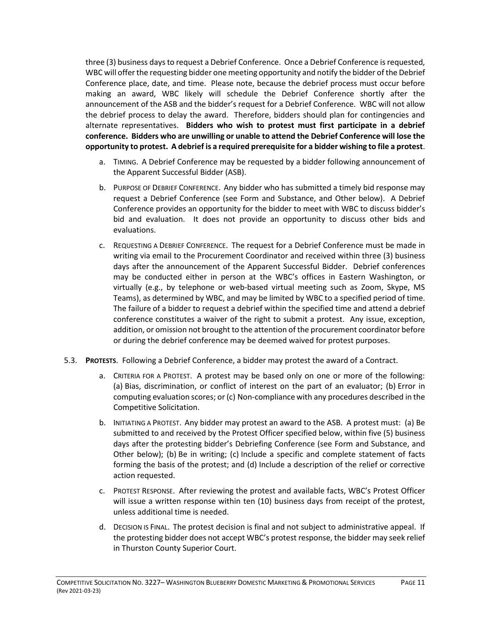three (3) business days to request a Debrief Conference. Once a Debrief Conference is requested, WBC will offer the requesting bidder one meeting opportunity and notify the bidder of the Debrief Conference place, date, and time. Please note, because the debrief process must occur before making an award, WBC likely will schedule the Debrief Conference shortly after the announcement of the ASB and the bidder's request for a Debrief Conference. WBC will not allow the debrief process to delay the award. Therefore, bidders should plan for contingencies and alternate representatives. **Bidders who wish to protest must first participate in a debrief conference. Bidders who are unwilling or unable to attend the Debrief Conference will lose the opportunity to protest. A debrief is a required prerequisite for a bidder wishing to file a protest**.

- a. TIMING. A Debrief Conference may be requested by a bidder following announcement of the Apparent Successful Bidder (ASB).
- b. PURPOSE OF DEBRIEF CONFERENCE. Any bidder who has submitted a timely bid response may request a Debrief Conference (see Form and Substance, and Other below). A Debrief Conference provides an opportunity for the bidder to meet with WBC to discuss bidder's bid and evaluation. It does not provide an opportunity to discuss other bids and evaluations.
- c. REQUESTING A DEBRIEF CONFERENCE. The request for a Debrief Conference must be made in writing via email to the Procurement Coordinator and received within three (3) business days after the announcement of the Apparent Successful Bidder. Debrief conferences may be conducted either in person at the WBC's offices in Eastern Washington, or virtually (e.g., by telephone or web-based virtual meeting such as Zoom, Skype, MS Teams), as determined by WBC, and may be limited by WBC to a specified period of time. The failure of a bidder to request a debrief within the specified time and attend a debrief conference constitutes a waiver of the right to submit a protest. Any issue, exception, addition, or omission not brought to the attention of the procurement coordinator before or during the debrief conference may be deemed waived for protest purposes.
- 5.3. **PROTESTS**. Following a Debrief Conference, a bidder may protest the award of a Contract.
	- a. CRITERIA FOR A PROTEST. A protest may be based only on one or more of the following: (a) Bias, discrimination, or conflict of interest on the part of an evaluator; (b) Error in computing evaluation scores; or (c) Non-compliance with any procedures described in the Competitive Solicitation.
	- b. INITIATING A PROTEST. Any bidder may protest an award to the ASB. A protest must: (a) Be submitted to and received by the Protest Officer specified below, within five (5) business days after the protesting bidder's Debriefing Conference (see Form and Substance, and Other below); (b) Be in writing; (c) Include a specific and complete statement of facts forming the basis of the protest; and (d) Include a description of the relief or corrective action requested.
	- c. PROTEST RESPONSE. After reviewing the protest and available facts, WBC's Protest Officer will issue a written response within ten (10) business days from receipt of the protest, unless additional time is needed.
	- d. DECISION IS FINAL. The protest decision is final and not subject to administrative appeal. If the protesting bidder does not accept WBC's protest response, the bidder may seek relief in Thurston County Superior Court.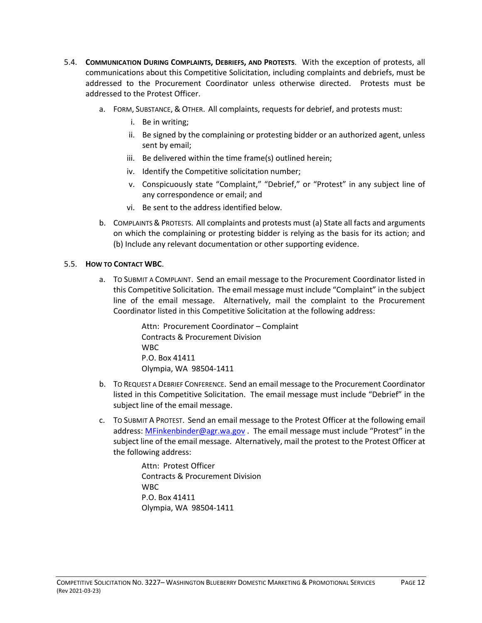- 5.4. **COMMUNICATION DURING COMPLAINTS, DEBRIEFS, AND PROTESTS**. With the exception of protests, all communications about this Competitive Solicitation, including complaints and debriefs, must be addressed to the Procurement Coordinator unless otherwise directed. Protests must be addressed to the Protest Officer.
	- a. FORM, SUBSTANCE, & OTHER. All complaints, requests for debrief, and protests must:
		- i. Be in writing;
		- ii. Be signed by the complaining or protesting bidder or an authorized agent, unless sent by email;
		- iii. Be delivered within the time frame(s) outlined herein;
		- iv. Identify the Competitive solicitation number;
		- v. Conspicuously state "Complaint," "Debrief," or "Protest" in any subject line of any correspondence or email; and
		- vi. Be sent to the address identified below.
	- b. COMPLAINTS & PROTESTS. All complaints and protests must (a) State all facts and arguments on which the complaining or protesting bidder is relying as the basis for its action; and (b) Include any relevant documentation or other supporting evidence.

## 5.5. **HOW TO CONTACT WBC**.

a. TO SUBMIT A COMPLAINT. Send an email message to the Procurement Coordinator listed in this Competitive Solicitation. The email message must include "Complaint" in the subject line of the email message. Alternatively, mail the complaint to the Procurement Coordinator listed in this Competitive Solicitation at the following address:

> Attn: Procurement Coordinator – Complaint Contracts & Procurement Division WBC P.O. Box 41411 Olympia, WA 98504-1411

- b. TO REQUEST A DEBRIEF CONFERENCE. Send an email message to the Procurement Coordinator listed in this Competitive Solicitation. The email message must include "Debrief" in the subject line of the email message.
- c. TO SUBMIT A PROTEST. Send an email message to the Protest Officer at the following email address: [MFinkenbinder@agr.wa.gov](mailto:MFinkenbinder@agr.wa.gov) . The email message must include "Protest" in the subject line of the email message. Alternatively, mail the protest to the Protest Officer at the following address:

Attn: Protest Officer Contracts & Procurement Division **W<sub>BC</sub>** P.O. Box 41411 Olympia, WA 98504-1411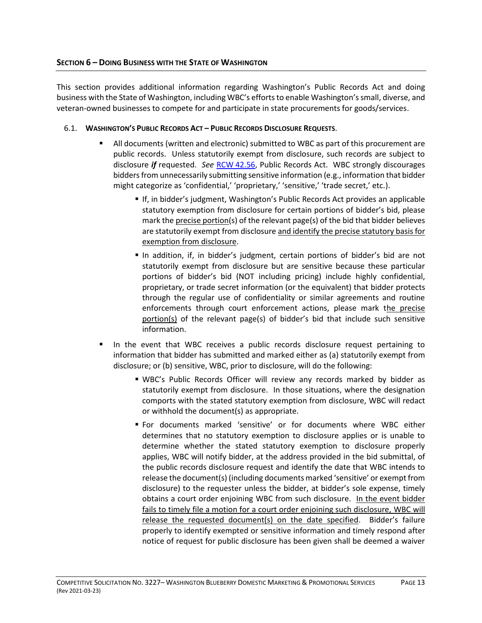<span id="page-12-0"></span>This section provides additional information regarding Washington's Public Records Act and doing business with the State of Washington, including WBC's efforts to enable Washington's small, diverse, and veteran-owned businesses to compete for and participate in state procurements for goods/services.

# 6.1. **WASHINGTON'S PUBLIC RECORDS ACT – PUBLIC RECORDS DISCLOSURE REQUESTS**.

- All documents (written and electronic) submitted to WBC as part of this procurement are public records. Unless statutorily exempt from disclosure, such records are subject to disclosure *if* requested. *See* RCW [42.56,](https://app.leg.wa.gov/RCW/default.aspx?cite=42.56) Public Records Act. WBC strongly discourages bidders from unnecessarily submitting sensitive information (e.g., information that bidder might categorize as 'confidential,' 'proprietary,' 'sensitive,' 'trade secret,' etc.).
	- If, in bidder's judgment, Washington's Public Records Act provides an applicable statutory exemption from disclosure for certain portions of bidder's bid, please mark the precise portion(s) of the relevant page(s) of the bid that bidder believes are statutorily exempt from disclosure and identify the precise statutory basis for exemption from disclosure.
	- In addition, if, in bidder's judgment, certain portions of bidder's bid are not statutorily exempt from disclosure but are sensitive because these particular portions of bidder's bid (NOT including pricing) include highly confidential, proprietary, or trade secret information (or the equivalent) that bidder protects through the regular use of confidentiality or similar agreements and routine enforcements through court enforcement actions, please mark the precise  $portion(s)$  of the relevant page(s) of bidder's bid that include such sensitive information.
- In the event that WBC receives a public records disclosure request pertaining to information that bidder has submitted and marked either as (a) statutorily exempt from disclosure; or (b) sensitive, WBC, prior to disclosure, will do the following:
	- WBC's Public Records Officer will review any records marked by bidder as statutorily exempt from disclosure. In those situations, where the designation comports with the stated statutory exemption from disclosure, WBC will redact or withhold the document(s) as appropriate.
	- For documents marked 'sensitive' or for documents where WBC either determines that no statutory exemption to disclosure applies or is unable to determine whether the stated statutory exemption to disclosure properly applies, WBC will notify bidder, at the address provided in the bid submittal, of the public records disclosure request and identify the date that WBC intends to release the document(s) (including documents marked 'sensitive' or exempt from disclosure) to the requester unless the bidder, at bidder's sole expense, timely obtains a court order enjoining WBC from such disclosure. In the event bidder fails to timely file a motion for a court order enjoining such disclosure, WBC will release the requested document(s) on the date specified. Bidder's failure properly to identify exempted or sensitive information and timely respond after notice of request for public disclosure has been given shall be deemed a waiver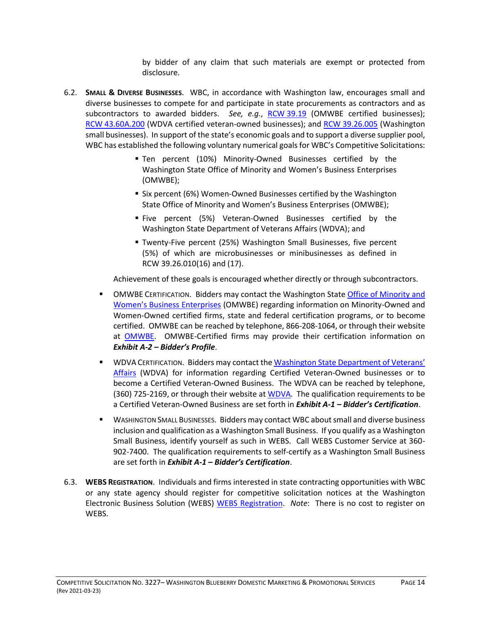by bidder of any claim that such materials are exempt or protected from disclosure.

- 6.2. **SMALL & DIVERSE BUSINESSES**. WBC, in accordance with Washington law, encourages small and diverse businesses to compete for and participate in state procurements as contractors and as subcontractors to awarded bidders. *See, e.g.*, RCW [39.19](https://app.leg.wa.gov/RCW/default.aspx?cite=39.19) (OMWBE certified businesses); RCW [43.60A.200](https://app.leg.wa.gov/RCW/default.aspx?cite=43.60A.200) (WDVA certified veteran-owned businesses); and RCW [39.26.005](https://app.leg.wa.gov/RCW/default.aspx?cite=39.26.005) (Washington small businesses). In support of the state's economic goals and to support a diverse supplier pool, WBC has established the following voluntary numerical goals for WBC's Competitive Solicitations:
	- Ten percent (10%) Minority-Owned Businesses certified by the Washington State Office of Minority and Women's Business Enterprises (OMWBE);
	- Six percent (6%) Women-Owned Businesses certified by the Washington State Office of Minority and Women's Business Enterprises (OMWBE);
	- Five percent (5%) Veteran-Owned Businesses certified by the Washington State Department of Veterans Affairs (WDVA); and
	- Twenty-Five percent (25%) Washington Small Businesses, five percent (5%) of which are microbusinesses or minibusinesses as defined in RCW 39.26.010(16) and (17).

Achievement of these goals is encouraged whether directly or through subcontractors.

- **OMWBE CERTIFICATION. Bidders may contact the Washington State Office of Minority and** [Women's Business Enterprises](http://www.omwbe.wa.gov/) (OMWBE) regarding information on Minority-Owned and Women-Owned certified firms, state and federal certification programs, or to become certified. OMWBE can be reached by telephone, 866-208-1064, or through their website at [OMWBE.](http://www.omwbe.wa.gov/) OMWBE-Certified firms may provide their certification information on *Exhibit A-2 – Bidder's Profile*.
- **EXECT WOVA CERTIFICATION. Bidders may contact the Washington State Department of Veterans'** [Affairs](https://www.dva.wa.gov/veterans-their-families/veteran-owned-businesses/vob-search) (WDVA) for information regarding Certified Veteran-Owned businesses or to become a Certified Veteran-Owned Business. The WDVA can be reached by telephone, (360) 725-2169, or through their website at [WDVA.](http://www.dva.wa.gov/) The qualification requirements to be a Certified Veteran-Owned Business are set forth in *Exhibit A-1 – Bidder's Certification*.
- **WASHINGTON SMALL BUSINESSES. Bidders may contact WBC about small and diverse business** inclusion and qualification as a Washington Small Business. If you qualify as a Washington Small Business, identify yourself as such in WEBS. Call WEBS Customer Service at 360- 902-7400. The qualification requirements to self-certify as a Washington Small Business are set forth in *Exhibit A-1 – Bidder's Certification*.
- 6.3. **WEBS REGISTRATION**. Individuals and firms interested in state contracting opportunities with WBC or any state agency should register for competitive solicitation notices at the Washington Electronic Business Solution (WEBS) [WEBS Registration.](http://www.des.wa.gov/services/ContractingPurchasing/Business/Pages/WEBSRegistration.aspx) *Note*: There is no cost to register on WEBS.